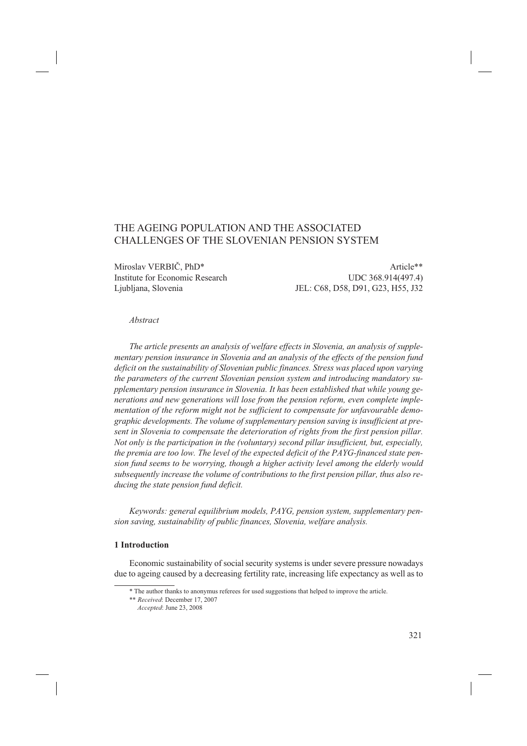# THE AGEING POPULATION AND THE ASSOCIATED CHALLENGES OF THE SLOVENIAN PENSION SYSTEM

Miroslav VERBIČ, PhD\*  $\blacksquare$ 

Institute for Economic Research UDC 368.914(497.4) Ljubljana, Slovenia JEL: C68, D58, D91, G23, H55, J32

#### *Abstract*

*The article presents an analysis of welfare effects in Slovenia, an analysis of supplementary pension insurance in Slovenia and an analysis of the effects of the pension fund deficit on the sustainability of Slovenian public finances. Stress was placed upon varying the parameters of the current Slovenian pension system and introducing mandatory supplementary pension insurance in Slovenia. It has been established that while young generations and new generations will lose from the pension reform, even complete implementation of the reform might not be sufficient to compensate for unfavourable demographic developments. The volume of supplementary pension saving is insufficient at present in Slovenia to compensate the deterioration of rights from the first pension pillar. Not only is the participation in the (voluntary) second pillar insufficient, but, especially, the premia are too low. The level of the expected deficit of the PAYG-financed state pension fund seems to be worrying, though a higher activity level among the elderly would subsequently increase the volume of contributions to the first pension pillar, thus also reducing the state pension fund deficit.*

*Keywords: general equilibrium models, PAYG, pension system, supplementary pension saving, sustainability of public finances, Slovenia, welfare analysis.*

### **1 Introduction**

Economic sustainability of social security systems is under severe pressure nowadays due to ageing caused by a decreasing fertility rate, increasing life expectancy as well as to

<sup>\*</sup> The author thanks to anonymus referees for used suggestions that helped to improve the article.

<sup>\*\*</sup> *Received*: December 17, 2007

*Accepted*: June 23, 2008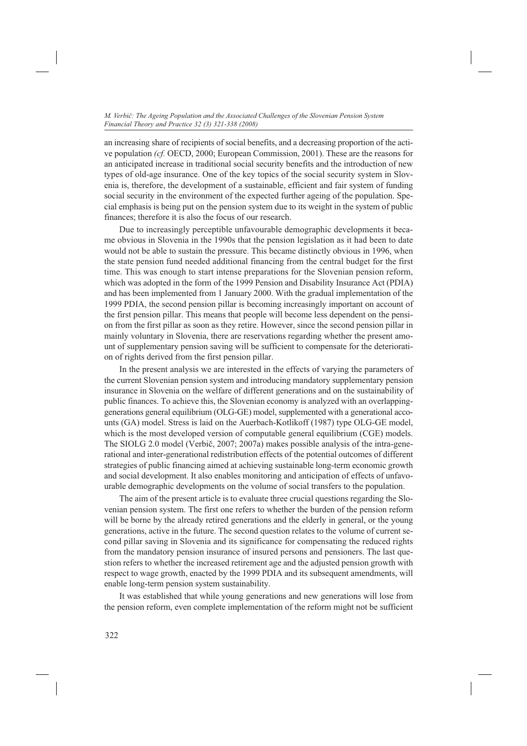an increasing share of recipients of social benefits, and a decreasing proportion of the active population *(cf.* OECD, 2000; European Commission, 2001). These are the reasons for an anticipated increase in traditional social security benefits and the introduction of new types of old-age insurance. One of the key topics of the social security system in Slovenia is, therefore, the development of a sustainable, efficient and fair system of funding social security in the environment of the expected further ageing of the population. Special emphasis is being put on the pension system due to its weight in the system of public finances; therefore it is also the focus of our research.

Due to increasingly perceptible unfavourable demographic developments it became obvious in Slovenia in the 1990s that the pension legislation as it had been to date would not be able to sustain the pressure. This became distinctly obvious in 1996, when the state pension fund needed additional financing from the central budget for the first time. This was enough to start intense preparations for the Slovenian pension reform, which was adopted in the form of the 1999 Pension and Disability Insurance Act (PDIA) and has been implemented from 1 January 2000. With the gradual implementation of the 1999 PDIA, the second pension pillar is becoming increasingly important on account of the first pension pillar. This means that people will become less dependent on the pension from the first pillar as soon as they retire. However, since the second pension pillar in mainly voluntary in Slovenia, there are reservations regarding whether the present amount of supplementary pension saving will be sufficient to compensate for the deterioration of rights derived from the first pension pillar.

In the present analysis we are interested in the effects of varying the parameters of the current Slovenian pension system and introducing mandatory supplementary pension insurance in Slovenia on the welfare of different generations and on the sustainability of public finances. To achieve this, the Slovenian economy is analyzed with an overlappinggenerations general equilibrium (OLG-GE) model, supplemented with a generational accounts (GA) model. Stress is laid on the Auerbach-Kotlikoff (1987) type OLG-GE model, which is the most developed version of computable general equilibrium (CGE) models. The SIOLG 2.0 model (Verbič, 2007; 2007a) makes possible analysis of the intra-generational and inter-generational redistribution effects of the potential outcomes of different strategies of public financing aimed at achieving sustainable long-term economic growth and social development. It also enables monitoring and anticipation of effects of unfavourable demographic developments on the volume of social transfers to the population.

The aim of the present article is to evaluate three crucial questions regarding the Slovenian pension system. The first one refers to whether the burden of the pension reform will be borne by the already retired generations and the elderly in general, or the young generations, active in the future. The second question relates to the volume of current second pillar saving in Slovenia and its significance for compensating the reduced rights from the mandatory pension insurance of insured persons and pensioners. The last question refers to whether the increased retirement age and the adjusted pension growth with respect to wage growth, enacted by the 1999 PDIA and its subsequent amendments, will enable long-term pension system sustainability.

It was established that while young generations and new generations will lose from the pension reform, even complete implementation of the reform might not be sufficient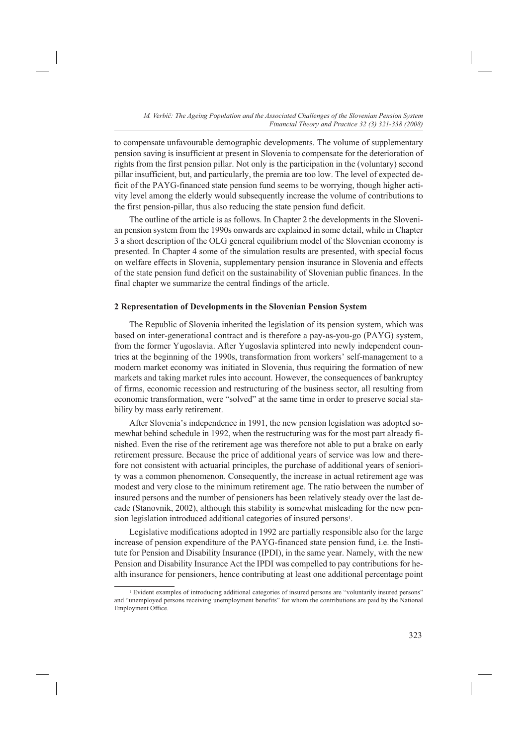to compensate unfavourable demographic developments. The volume of supplementary pension saving is insufficient at present in Slovenia to compensate for the deterioration of rights from the first pension pillar. Not only is the participation in the (voluntary) second pillar insufficient, but, and particularly, the premia are too low. The level of expected deficit of the PAYG-financed state pension fund seems to be worrying, though higher activity level among the elderly would subsequently increase the volume of contributions to the first pension-pillar, thus also reducing the state pension fund deficit.

The outline of the article is as follows. In Chapter 2 the developments in the Slovenian pension system from the 1990s onwards are explained in some detail, while in Chapter 3 a short description of the OLG general equilibrium model of the Slovenian economy is presented. In Chapter 4 some of the simulation results are presented, with special focus on welfare effects in Slovenia, supplementary pension insurance in Slovenia and effects of the state pension fund deficit on the sustainability of Slovenian public finances. In the final chapter we summarize the central findings of the article.

### **2 Representation of Developments in the Slovenian Pension System**

The Republic of Slovenia inherited the legislation of its pension system, which was based on inter-generational contract and is therefore a pay-as-you-go (PAYG) system, from the former Yugoslavia. After Yugoslavia splintered into newly independent countries at the beginning of the 1990s, transformation from workers' self-management to a modern market economy was initiated in Slovenia, thus requiring the formation of new markets and taking market rules into account. However, the consequences of bankruptcy of firms, economic recession and restructuring of the business sector, all resulting from economic transformation, were "solved" at the same time in order to preserve social stability by mass early retirement.

After Slovenia's independence in 1991, the new pension legislation was adopted somewhat behind schedule in 1992, when the restructuring was for the most part already finished. Even the rise of the retirement age was therefore not able to put a brake on early retirement pressure. Because the price of additional years of service was low and therefore not consistent with actuarial principles, the purchase of additional years of seniority was a common phenomenon. Consequently, the increase in actual retirement age was modest and very close to the minimum retirement age. The ratio between the number of insured persons and the number of pensioners has been relatively steady over the last decade (Stanovnik, 2002), although this stability is somewhat misleading for the new pension legislation introduced additional categories of insured persons<sup>1</sup>.

Legislative modifications adopted in 1992 are partially responsible also for the large increase of pension expenditure of the PAYG-financed state pension fund, i.e. the Institute for Pension and Disability Insurance (IPDI), in the same year. Namely, with the new Pension and Disability Insurance Act the IPDI was compelled to pay contributions for health insurance for pensioners, hence contributing at least one additional percentage point

<sup>1</sup> Evident examples of introducing additional categories of insured persons are "voluntarily insured persons" and "unemployed persons receiving unemployment benefits" for whom the contributions are paid by the National Employment Office.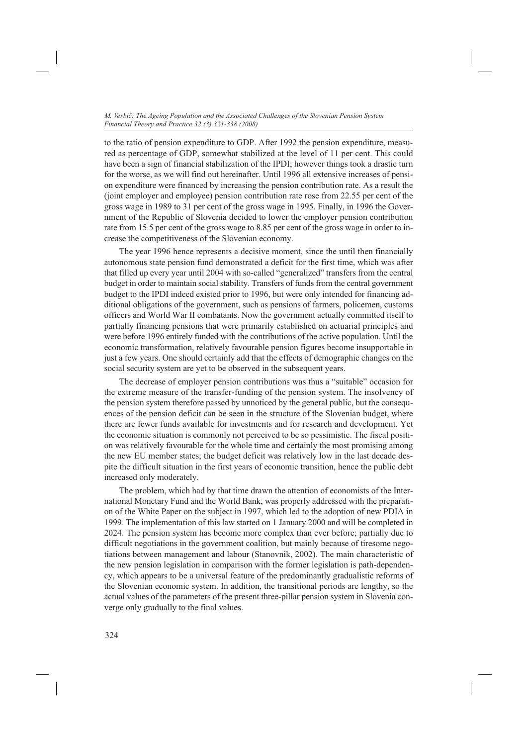to the ratio of pension expenditure to GDP. After 1992 the pension expenditure, measured as percentage of GDP, somewhat stabilized at the level of 11 per cent. This could have been a sign of financial stabilization of the IPDI; however things took a drastic turn for the worse, as we will find out hereinafter. Until 1996 all extensive increases of pension expenditure were financed by increasing the pension contribution rate. As a result the (joint employer and employee) pension contribution rate rose from 22.55 per cent of the gross wage in 1989 to 31 per cent of the gross wage in 1995. Finally, in 1996 the Government of the Republic of Slovenia decided to lower the employer pension contribution rate from 15.5 per cent of the gross wage to 8.85 per cent of the gross wage in order to increase the competitiveness of the Slovenian economy.

The year 1996 hence represents a decisive moment, since the until then financially autonomous state pension fund demonstrated a deficit for the first time, which was after that filled up every year until 2004 with so-called "generalized" transfers from the central budget in order to maintain social stability. Transfers of funds from the central government budget to the IPDI indeed existed prior to 1996, but were only intended for financing additional obligations of the government, such as pensions of farmers, policemen, customs officers and World War II combatants. Now the government actually committed itself to partially financing pensions that were primarily established on actuarial principles and were before 1996 entirely funded with the contributions of the active population. Until the economic transformation, relatively favourable pension figures become insupportable in just a few years. One should certainly add that the effects of demographic changes on the social security system are yet to be observed in the subsequent years.

The decrease of employer pension contributions was thus a "suitable" occasion for the extreme measure of the transfer-funding of the pension system. The insolvency of the pension system therefore passed by unnoticed by the general public, but the consequences of the pension deficit can be seen in the structure of the Slovenian budget, where there are fewer funds available for investments and for research and development. Yet the economic situation is commonly not perceived to be so pessimistic. The fiscal position was relatively favourable for the whole time and certainly the most promising among the new EU member states; the budget deficit was relatively low in the last decade despite the difficult situation in the first years of economic transition, hence the public debt increased only moderately.

The problem, which had by that time drawn the attention of economists of the International Monetary Fund and the World Bank, was properly addressed with the preparation of the White Paper on the subject in 1997, which led to the adoption of new PDIA in 1999. The implementation of this law started on 1 January 2000 and will be completed in 2024. The pension system has become more complex than ever before; partially due to difficult negotiations in the government coalition, but mainly because of tiresome negotiations between management and labour (Stanovnik, 2002). The main characteristic of the new pension legislation in comparison with the former legislation is path-dependency, which appears to be a universal feature of the predominantly gradualistic reforms of the Slovenian economic system. In addition, the transitional periods are lengthy, so the actual values of the parameters of the present three-pillar pension system in Slovenia converge only gradually to the final values.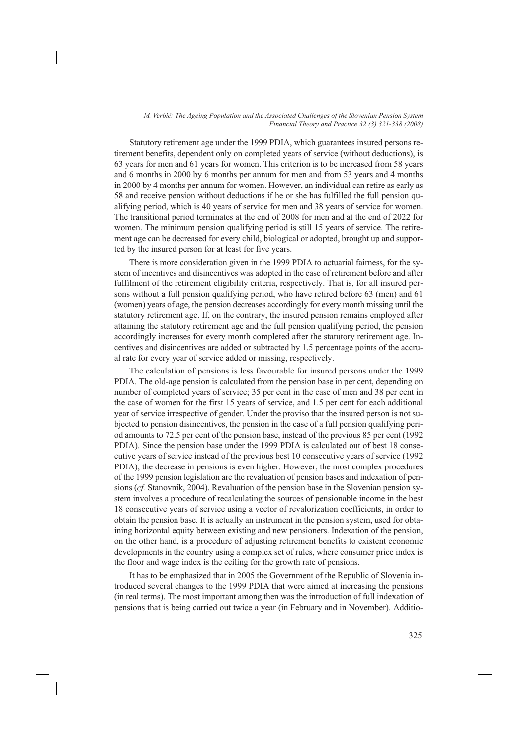Statutory retirement age under the 1999 PDIA, which guarantees insured persons retirement benefits, dependent only on completed years of service (without deductions), is 63 years for men and 61 years for women. This criterion is to be increased from 58 years and 6 months in 2000 by 6 months per annum for men and from 53 years and 4 months in 2000 by 4 months per annum for women. However, an individual can retire as early as 58 and receive pension without deductions if he or she has fulfilled the full pension qualifying period, which is 40 years of service for men and 38 years of service for women. The transitional period terminates at the end of 2008 for men and at the end of 2022 for women. The minimum pension qualifying period is still 15 years of service. The retirement age can be decreased for every child, biological or adopted, brought up and supported by the insured person for at least for five years.

There is more consideration given in the 1999 PDIA to actuarial fairness, for the system of incentives and disincentives was adopted in the case of retirement before and after fulfilment of the retirement eligibility criteria, respectively. That is, for all insured persons without a full pension qualifying period, who have retired before 63 (men) and 61 (women) years of age, the pension decreases accordingly for every month missing until the statutory retirement age. If, on the contrary, the insured pension remains employed after attaining the statutory retirement age and the full pension qualifying period, the pension accordingly increases for every month completed after the statutory retirement age. Incentives and disincentives are added or subtracted by 1.5 percentage points of the accrual rate for every year of service added or missing, respectively.

The calculation of pensions is less favourable for insured persons under the 1999 PDIA. The old-age pension is calculated from the pension base in per cent, depending on number of completed years of service; 35 per cent in the case of men and 38 per cent in the case of women for the first 15 years of service, and 1.5 per cent for each additional year of service irrespective of gender. Under the proviso that the insured person is not subjected to pension disincentives, the pension in the case of a full pension qualifying period amounts to 72.5 per cent of the pension base, instead of the previous 85 per cent (1992 PDIA). Since the pension base under the 1999 PDIA is calculated out of best 18 consecutive years of service instead of the previous best 10 consecutive years of service (1992 PDIA), the decrease in pensions is even higher. However, the most complex procedures of the 1999 pension legislation are the revaluation of pension bases and indexation of pensions (*cf.* Stanovnik, 2004). Revaluation of the pension base in the Slovenian pension system involves a procedure of recalculating the sources of pensionable income in the best 18 consecutive years of service using a vector of revalorization coefficients, in order to obtain the pension base. It is actually an instrument in the pension system, used for obtaining horizontal equity between existing and new pensioners. Indexation of the pension, on the other hand, is a procedure of adjusting retirement benefits to existent economic developments in the country using a complex set of rules, where consumer price index is the floor and wage index is the ceiling for the growth rate of pensions.

It has to be emphasized that in 2005 the Government of the Republic of Slovenia introduced several changes to the 1999 PDIA that were aimed at increasing the pensions (in real terms). The most important among then was the introduction of full indexation of pensions that is being carried out twice a year (in February and in November). Additio-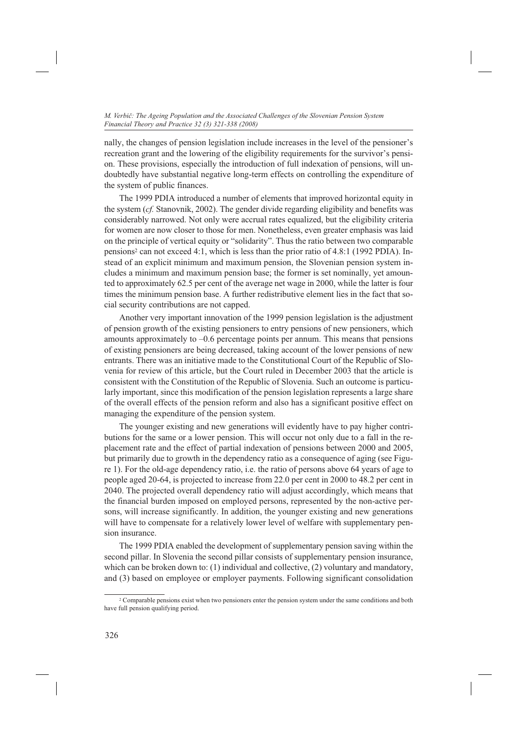nally, the changes of pension legislation include increases in the level of the pensioner's recreation grant and the lowering of the eligibility requirements for the survivor's pension. These provisions, especially the introduction of full indexation of pensions, will undoubtedly have substantial negative long-term effects on controlling the expenditure of the system of public finances.

The 1999 PDIA introduced a number of elements that improved horizontal equity in the system (*cf.* Stanovnik, 2002). The gender divide regarding eligibility and benefits was considerably narrowed. Not only were accrual rates equalized, but the eligibility criteria for women are now closer to those for men. Nonetheless, even greater emphasis was laid on the principle of vertical equity or "solidarity". Thus the ratio between two comparable pensions<sup>2</sup> can not exceed 4:1, which is less than the prior ratio of 4.8:1 (1992 PDIA). Instead of an explicit minimum and maximum pension, the Slovenian pension system includes a minimum and maximum pension base; the former is set nominally, yet amounted to approximately 62.5 per cent of the average net wage in 2000, while the latter is four times the minimum pension base. A further redistributive element lies in the fact that social security contributions are not capped.

Another very important innovation of the 1999 pension legislation is the adjustment of pension growth of the existing pensioners to entry pensions of new pensioners, which amounts approximately to –0.6 percentage points per annum. This means that pensions of existing pensioners are being decreased, taking account of the lower pensions of new entrants. There was an initiative made to the Constitutional Court of the Republic of Slovenia for review of this article, but the Court ruled in December 2003 that the article is consistent with the Constitution of the Republic of Slovenia. Such an outcome is particularly important, since this modification of the pension legislation represents a large share of the overall effects of the pension reform and also has a significant positive effect on managing the expenditure of the pension system.

The younger existing and new generations will evidently have to pay higher contributions for the same or a lower pension. This will occur not only due to a fall in the replacement rate and the effect of partial indexation of pensions between 2000 and 2005, but primarily due to growth in the dependency ratio as a consequence of aging (see Figure 1). For the old-age dependency ratio, i.e. the ratio of persons above 64 years of age to people aged 20-64, is projected to increase from 22.0 per cent in 2000 to 48.2 per cent in 2040. The projected overall dependency ratio will adjust accordingly, which means that the financial burden imposed on employed persons, represented by the non-active persons, will increase significantly. In addition, the younger existing and new generations will have to compensate for a relatively lower level of welfare with supplementary pension insurance.

The 1999 PDIA enabled the development of supplementary pension saving within the second pillar. In Slovenia the second pillar consists of supplementary pension insurance, which can be broken down to: (1) individual and collective, (2) voluntary and mandatory, and (3) based on employee or employer payments. Following significant consolidation

<sup>&</sup>lt;sup>2</sup> Comparable pensions exist when two pensioners enter the pension system under the same conditions and both have full pension qualifying period.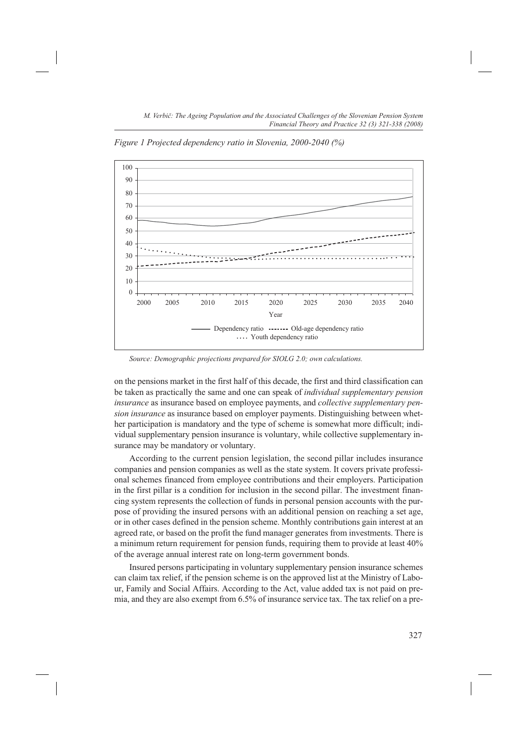*Figure 1 Projected dependency ratio in Slovenia, 2000-2040 (%)*



*Source: Demographic projections prepared for SIOLG 2.0; own calculations.*

on the pensions market in the first half of this decade, the first and third classification can be taken as practically the same and one can speak of *individual supplementary pension insurance* as insurance based on employee payments, and *collective supplementary pension insurance* as insurance based on employer payments. Distinguishing between whether participation is mandatory and the type of scheme is somewhat more difficult; individual supplementary pension insurance is voluntary, while collective supplementary insurance may be mandatory or voluntary.

According to the current pension legislation, the second pillar includes insurance companies and pension companies as well as the state system. It covers private professional schemes financed from employee contributions and their employers. Participation in the first pillar is a condition for inclusion in the second pillar. The investment financing system represents the collection of funds in personal pension accounts with the purpose of providing the insured persons with an additional pension on reaching a set age, or in other cases defined in the pension scheme. Monthly contributions gain interest at an agreed rate, or based on the profit the fund manager generates from investments. There is a minimum return requirement for pension funds, requiring them to provide at least 40% of the average annual interest rate on long-term government bonds.

Insured persons participating in voluntary supplementary pension insurance schemes can claim tax relief, if the pension scheme is on the approved list at the Ministry of Labour, Family and Social Affairs. According to the Act, value added tax is not paid on premia, and they are also exempt from 6.5% of insurance service tax. The tax relief on a pre-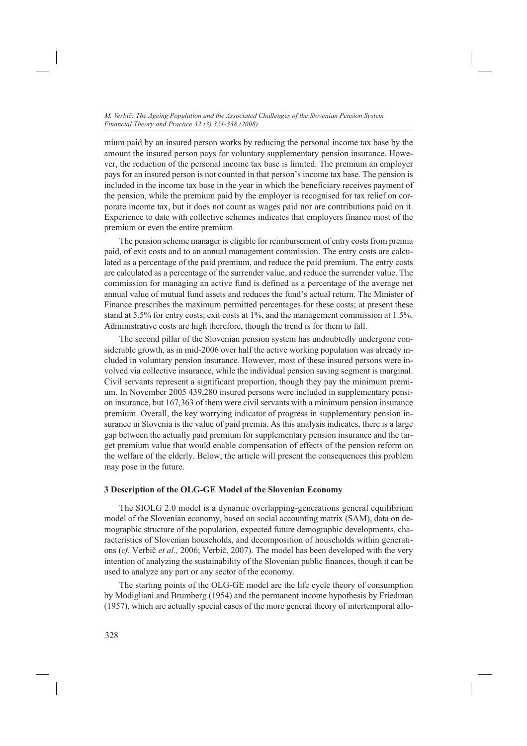mium paid by an insured person works by reducing the personal income tax base by the amount the insured person pays for voluntary supplementary pension insurance. However, the reduction of the personal income tax base is limited. The premium an employer pays for an insured person is not counted in that person's income tax base. The pension is included in the income tax base in the year in which the beneficiary receives payment of the pension, while the premium paid by the employer is recognised for tax relief on corporate income tax, but it does not count as wages paid nor are contributions paid on it. Experience to date with collective schemes indicates that employers finance most of the premium or even the entire premium.

The pension scheme manager is eligible for reimbursement of entry costs from premia paid, of exit costs and to an annual management commission. The entry costs are calculated as a percentage of the paid premium, and reduce the paid premium. The entry costs are calculated as a percentage of the surrender value, and reduce the surrender value. The commission for managing an active fund is defined as a percentage of the average net annual value of mutual fund assets and reduces the fund's actual return. The Minister of Finance prescribes the maximum permitted percentages for these costs; at present these stand at 5.5% for entry costs; exit costs at 1%, and the management commission at 1.5%. Administrative costs are high therefore, though the trend is for them to fall.

The second pillar of the Slovenian pension system has undoubtedly undergone considerable growth, as in mid-2006 over half the active working population was already included in voluntary pension insurance. However, most of these insured persons were involved via collective insurance, while the individual pension saving segment is marginal. Civil servants represent a significant proportion, though they pay the minimum premium. In November 2005 439,280 insured persons were included in supplementary pension insurance, but 167,363 of them were civil servants with a minimum pension insurance premium. Overall, the key worrying indicator of progress in supplementary pension insurance in Slovenia is the value of paid premia. As this analysis indicates, there is a large gap between the actually paid premium for supplementary pension insurance and the target premium value that would enable compensation of effects of the pension reform on the welfare of the elderly. Below, the article will present the consequences this problem may pose in the future.

## **3 Description of the OLG-GE Model of the Slovenian Economy**

The SIOLG 2.0 model is a dynamic overlapping-generations general equilibrium model of the Slovenian economy, based on social accounting matrix (SAM), data on demographic structure of the population, expected future demographic developments, characteristics of Slovenian households, and decomposition of households within generations (*cf.* Verbič *et al.,* 2006; Verbič, 2007). The model has been developed with the very intention of analyzing the sustainability of the Slovenian public finances, though it can be used to analyze any part or any sector of the economy.

The starting points of the OLG-GE model are the life cycle theory of consumption by Modigliani and Brumberg (1954) and the permanent income hypothesis by Friedman (1957), which are actually special cases of the more general theory of intertemporal allo-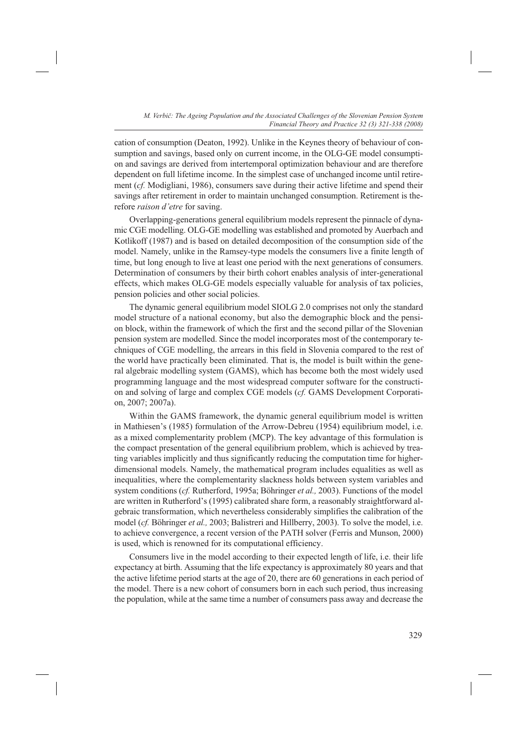cation of consumption (Deaton, 1992). Unlike in the Keynes theory of behaviour of consumption and savings, based only on current income, in the OLG-GE model consumption and savings are derived from intertemporal optimization behaviour and are therefore dependent on full lifetime income. In the simplest case of unchanged income until retirement (*cf.* Modigliani, 1986), consumers save during their active lifetime and spend their savings after retirement in order to maintain unchanged consumption. Retirement is therefore *raison d'etre* for saving.

Overlapping-generations general equilibrium models represent the pinnacle of dynamic CGE modelling. OLG-GE modelling was established and promoted by Auerbach and Kotlikoff (1987) and is based on detailed decomposition of the consumption side of the model. Namely, unlike in the Ramsey-type models the consumers live a finite length of time, but long enough to live at least one period with the next generations of consumers. Determination of consumers by their birth cohort enables analysis of inter-generational effects, which makes OLG-GE models especially valuable for analysis of tax policies, pension policies and other social policies.

The dynamic general equilibrium model SIOLG 2.0 comprises not only the standard model structure of a national economy, but also the demographic block and the pension block, within the framework of which the first and the second pillar of the Slovenian pension system are modelled. Since the model incorporates most of the contemporary techniques of CGE modelling, the arrears in this field in Slovenia compared to the rest of the world have practically been eliminated. That is, the model is built within the general algebraic modelling system (GAMS), which has become both the most widely used programming language and the most widespread computer software for the construction and solving of large and complex CGE models (*cf.* GAMS Development Corporation, 2007; 2007a).

Within the GAMS framework, the dynamic general equilibrium model is written in Mathiesen's (1985) formulation of the Arrow-Debreu (1954) equilibrium model, i.e. as a mixed complementarity problem (MCP). The key advantage of this formulation is the compact presentation of the general equilibrium problem, which is achieved by treating variables implicitly and thus significantly reducing the computation time for higherdimensional models. Namely, the mathematical program includes equalities as well as inequalities, where the complementarity slackness holds between system variables and system conditions (*cf.* Rutherford, 1995a; Böhringer *et al.,* 2003). Functions of the model are written in Rutherford's (1995) calibrated share form, a reasonably straightforward algebraic transformation, which nevertheless considerably simplifies the calibration of the model (*cf.* Böhringer *et al.,* 2003; Balistreri and Hillberry, 2003). To solve the model, i.e. to achieve convergence, a recent version of the PATH solver (Ferris and Munson, 2000) is used, which is renowned for its computational efficiency.

Consumers live in the model according to their expected length of life, i.e. their life expectancy at birth. Assuming that the life expectancy is approximately 80 years and that the active lifetime period starts at the age of 20, there are 60 generations in each period of the model. There is a new cohort of consumers born in each such period, thus increasing the population, while at the same time a number of consumers pass away and decrease the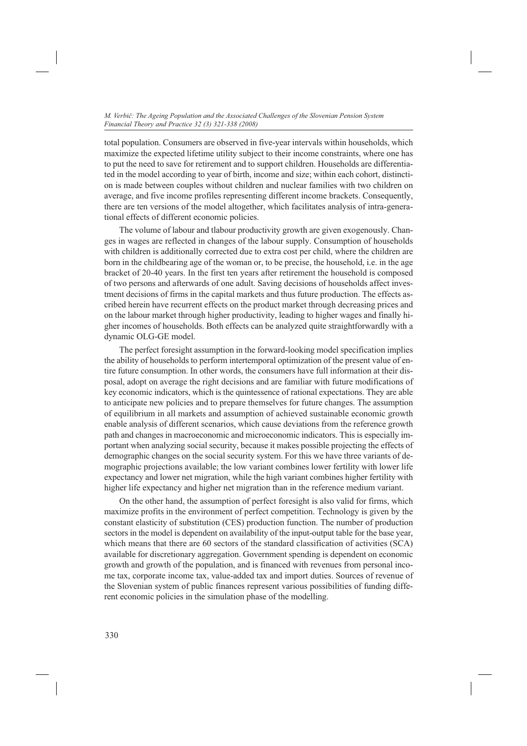total population. Consumers are observed in five-year intervals within households, which maximize the expected lifetime utility subject to their income constraints, where one has to put the need to save for retirement and to support children. Households are differentiated in the model according to year of birth, income and size; within each cohort, distinction is made between couples without children and nuclear families with two children on average, and five income profiles representing different income brackets. Consequently, there are ten versions of the model altogether, which facilitates analysis of intra-generational effects of different economic policies.

The volume of labour and tlabour productivity growth are given exogenously. Changes in wages are reflected in changes of the labour supply. Consumption of households with children is additionally corrected due to extra cost per child, where the children are born in the childbearing age of the woman or, to be precise, the household, i.e. in the age bracket of 20-40 years. In the first ten years after retirement the household is composed of two persons and afterwards of one adult. Saving decisions of households affect investment decisions of firms in the capital markets and thus future production. The effects ascribed herein have recurrent effects on the product market through decreasing prices and on the labour market through higher productivity, leading to higher wages and finally higher incomes of households. Both effects can be analyzed quite straightforwardly with a dynamic OLG-GE model.

The perfect foresight assumption in the forward-looking model specification implies the ability of households to perform intertemporal optimization of the present value of entire future consumption. In other words, the consumers have full information at their disposal, adopt on average the right decisions and are familiar with future modifications of key economic indicators, which is the quintessence of rational expectations. They are able to anticipate new policies and to prepare themselves for future changes. The assumption of equilibrium in all markets and assumption of achieved sustainable economic growth enable analysis of different scenarios, which cause deviations from the reference growth path and changes in macroeconomic and microeconomic indicators. This is especially important when analyzing social security, because it makes possible projecting the effects of demographic changes on the social security system. For this we have three variants of demographic projections available; the low variant combines lower fertility with lower life expectancy and lower net migration, while the high variant combines higher fertility with higher life expectancy and higher net migration than in the reference medium variant.

On the other hand, the assumption of perfect foresight is also valid for firms, which maximize profits in the environment of perfect competition. Technology is given by the constant elasticity of substitution (CES) production function. The number of production sectors in the model is dependent on availability of the input-output table for the base year, which means that there are 60 sectors of the standard classification of activities (SCA) available for discretionary aggregation. Government spending is dependent on economic growth and growth of the population, and is financed with revenues from personal income tax, corporate income tax, value-added tax and import duties. Sources of revenue of the Slovenian system of public finances represent various possibilities of funding different economic policies in the simulation phase of the modelling.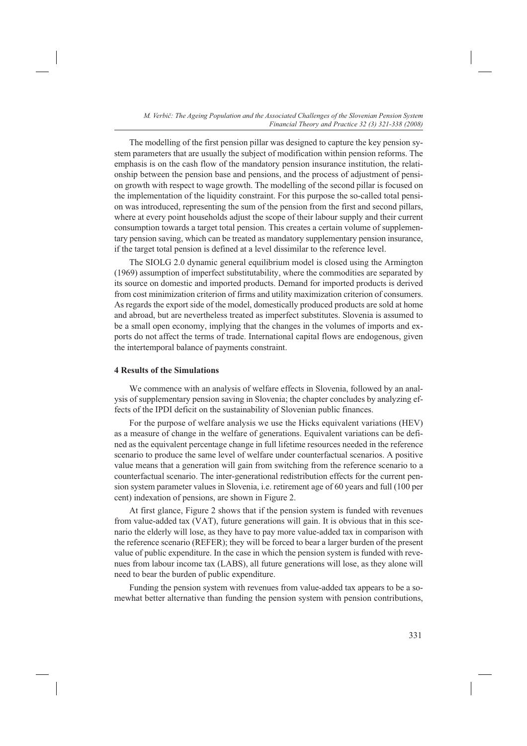The modelling of the first pension pillar was designed to capture the key pension system parameters that are usually the subject of modification within pension reforms. The emphasis is on the cash flow of the mandatory pension insurance institution, the relationship between the pension base and pensions, and the process of adjustment of pension growth with respect to wage growth. The modelling of the second pillar is focused on the implementation of the liquidity constraint. For this purpose the so-called total pension was introduced, representing the sum of the pension from the first and second pillars, where at every point households adjust the scope of their labour supply and their current consumption towards a target total pension. This creates a certain volume of supplementary pension saving, which can be treated as mandatory supplementary pension insurance, if the target total pension is defined at a level dissimilar to the reference level.

The SIOLG 2.0 dynamic general equilibrium model is closed using the Armington (1969) assumption of imperfect substitutability, where the commodities are separated by its source on domestic and imported products. Demand for imported products is derived from cost minimization criterion of firms and utility maximization criterion of consumers. As regards the export side of the model, domestically produced products are sold at home and abroad, but are nevertheless treated as imperfect substitutes. Slovenia is assumed to be a small open economy, implying that the changes in the volumes of imports and exports do not affect the terms of trade. International capital flows are endogenous, given the intertemporal balance of payments constraint.

## **4 Results of the Simulations**

We commence with an analysis of welfare effects in Slovenia, followed by an analysis of supplementary pension saving in Slovenia; the chapter concludes by analyzing effects of the IPDI deficit on the sustainability of Slovenian public finances.

For the purpose of welfare analysis we use the Hicks equivalent variations (HEV) as a measure of change in the welfare of generations. Equivalent variations can be defined as the equivalent percentage change in full lifetime resources needed in the reference scenario to produce the same level of welfare under counterfactual scenarios. A positive value means that a generation will gain from switching from the reference scenario to a counterfactual scenario. The inter-generational redistribution effects for the current pension system parameter values in Slovenia, i.e. retirement age of 60 years and full (100 per cent) indexation of pensions, are shown in Figure 2.

At first glance, Figure 2 shows that if the pension system is funded with revenues from value-added tax (VAT), future generations will gain. It is obvious that in this scenario the elderly will lose, as they have to pay more value-added tax in comparison with the reference scenario (REFER); they will be forced to bear a larger burden of the present value of public expenditure. In the case in which the pension system is funded with revenues from labour income tax (LABS), all future generations will lose, as they alone will need to bear the burden of public expenditure.

Funding the pension system with revenues from value-added tax appears to be a somewhat better alternative than funding the pension system with pension contributions,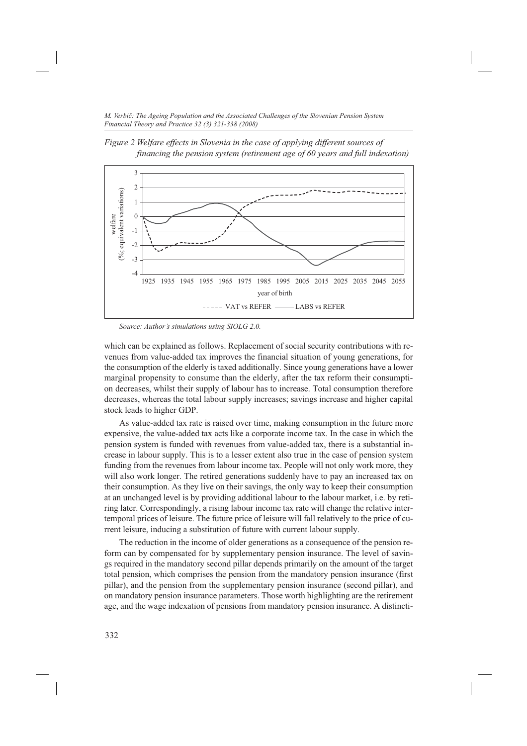*Figure 2 Welfare effects in Slovenia in the case of applying different sources of financing the pension system (retirement age of 60 years and full indexation)*



*Source: Author's simulations using SIOLG 2.0.*

which can be explained as follows. Replacement of social security contributions with revenues from value-added tax improves the financial situation of young generations, for the consumption of the elderly is taxed additionally. Since young generations have a lower marginal propensity to consume than the elderly, after the tax reform their consumption decreases, whilst their supply of labour has to increase. Total consumption therefore decreases, whereas the total labour supply increases; savings increase and higher capital stock leads to higher GDP.

As value-added tax rate is raised over time, making consumption in the future more expensive, the value-added tax acts like a corporate income tax. In the case in which the pension system is funded with revenues from value-added tax, there is a substantial increase in labour supply. This is to a lesser extent also true in the case of pension system funding from the revenues from labour income tax. People will not only work more, they will also work longer. The retired generations suddenly have to pay an increased tax on their consumption. As they live on their savings, the only way to keep their consumption at an unchanged level is by providing additional labour to the labour market, i.e. by retiring later. Correspondingly, a rising labour income tax rate will change the relative intertemporal prices of leisure. The future price of leisure will fall relatively to the price of current leisure, inducing a substitution of future with current labour supply.

The reduction in the income of older generations as a consequence of the pension reform can by compensated for by supplementary pension insurance. The level of savings required in the mandatory second pillar depends primarily on the amount of the target total pension, which comprises the pension from the mandatory pension insurance (first pillar), and the pension from the supplementary pension insurance (second pillar), and on mandatory pension insurance parameters. Those worth highlighting are the retirement age, and the wage indexation of pensions from mandatory pension insurance. A distincti-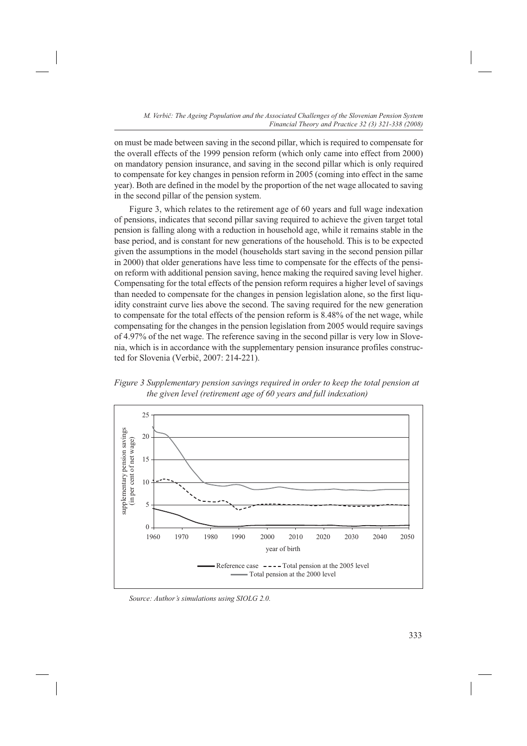on must be made between saving in the second pillar, which is required to compensate for the overall effects of the 1999 pension reform (which only came into effect from 2000) on mandatory pension insurance, and saving in the second pillar which is only required to compensate for key changes in pension reform in 2005 (coming into effect in the same year). Both are defined in the model by the proportion of the net wage allocated to saving in the second pillar of the pension system.

Figure 3, which relates to the retirement age of 60 years and full wage indexation of pensions, indicates that second pillar saving required to achieve the given target total pension is falling along with a reduction in household age, while it remains stable in the base period, and is constant for new generations of the household. This is to be expected given the assumptions in the model (households start saving in the second pension pillar in 2000) that older generations have less time to compensate for the effects of the pension reform with additional pension saving, hence making the required saving level higher. Compensating for the total effects of the pension reform requires a higher level of savings than needed to compensate for the changes in pension legislation alone, so the first liquidity constraint curve lies above the second. The saving required for the new generation to compensate for the total effects of the pension reform is 8.48% of the net wage, while compensating for the changes in the pension legislation from 2005 would require savings of 4.97% of the net wage. The reference saving in the second pillar is very low in Slovenia, which is in accordance with the supplementary pension insurance profiles constructed for Slovenia (Verbič, 2007: 214-221).





*Source: Author's simulations using SIOLG 2.0.*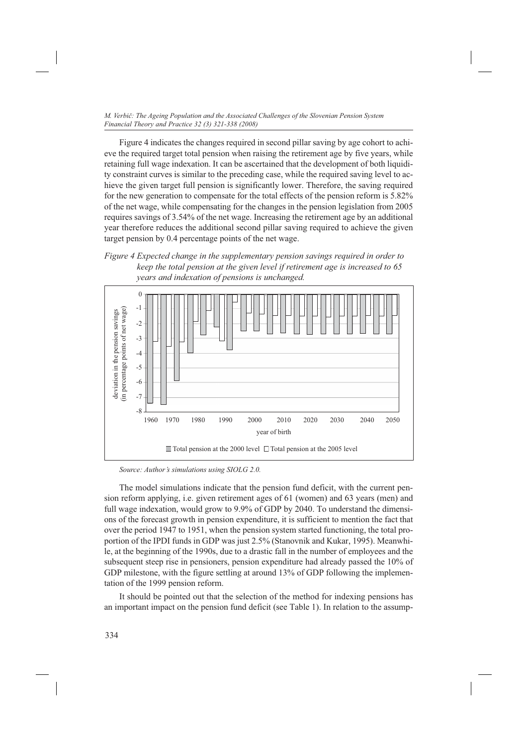Figure 4 indicates the changes required in second pillar saving by age cohort to achieve the required target total pension when raising the retirement age by five years, while retaining full wage indexation. It can be ascertained that the development of both liquidity constraint curves is similar to the preceding case, while the required saving level to achieve the given target full pension is significantly lower. Therefore, the saving required for the new generation to compensate for the total effects of the pension reform is 5.82% of the net wage, while compensating for the changes in the pension legislation from 2005 requires savings of 3.54% of the net wage. Increasing the retirement age by an additional year therefore reduces the additional second pillar saving required to achieve the given target pension by 0.4 percentage points of the net wage.





*Source: Author's simulations using SIOLG 2.0.*

The model simulations indicate that the pension fund deficit, with the current pension reform applying, i.e. given retirement ages of 61 (women) and 63 years (men) and full wage indexation, would grow to 9.9% of GDP by 2040. To understand the dimensions of the forecast growth in pension expenditure, it is sufficient to mention the fact that over the period 1947 to 1951, when the pension system started functioning, the total proportion of the IPDI funds in GDP was just 2.5% (Stanovnik and Kukar, 1995). Meanwhile, at the beginning of the 1990s, due to a drastic fall in the number of employees and the subsequent steep rise in pensioners, pension expenditure had already passed the 10% of GDP milestone, with the figure settling at around 13% of GDP following the implementation of the 1999 pension reform.

It should be pointed out that the selection of the method for indexing pensions has an important impact on the pension fund deficit (see Table 1). In relation to the assump-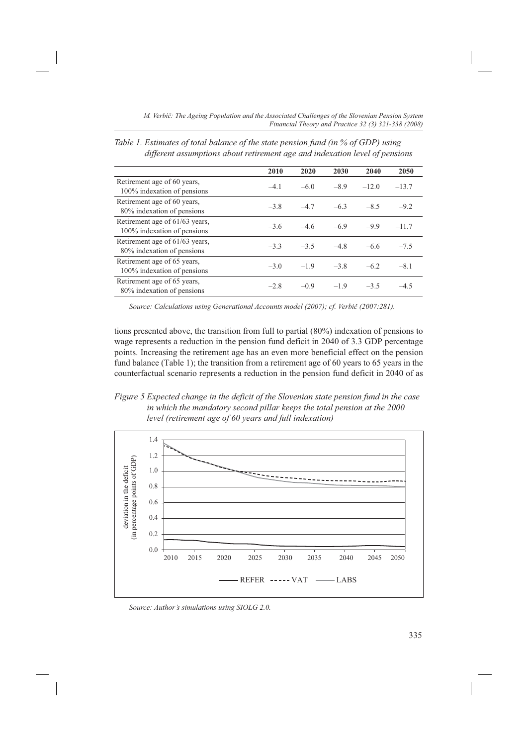|                                                               | 2010   | 2020   | 2030   | 2040    | 2050    |
|---------------------------------------------------------------|--------|--------|--------|---------|---------|
| Retirement age of 60 years,<br>100% indexation of pensions    | $-4.1$ | $-6.0$ | $-8.9$ | $-12.0$ | $-13.7$ |
| Retirement age of 60 years,<br>80% indexation of pensions     | $-3.8$ | $-4.7$ | $-6.3$ | $-8.5$  | $-9.2$  |
| Retirement age of 61/63 years,<br>100% indexation of pensions | $-3.6$ | $-4.6$ | $-6.9$ | $-9.9$  | $-11.7$ |
| Retirement age of 61/63 years,<br>80% indexation of pensions  | $-3.3$ | $-3.5$ | $-4.8$ | $-6.6$  | $-7.5$  |
| Retirement age of 65 years,<br>100% indexation of pensions    | $-3.0$ | $-1.9$ | $-3.8$ | $-6.2$  | $-8.1$  |
| Retirement age of 65 years,<br>80% indexation of pensions     | $-2.8$ | $-0.9$ | $-1.9$ | $-3.5$  | $-4.5$  |

*Table 1. Estimates of total balance of the state pension fund (in % of GDP) using different assumptions about retirement age and indexation level of pensions*

*Source: Calculations using Generational Accounts model (2007); cf. Verbič (2007:281).*

tions presented above, the transition from full to partial (80%) indexation of pensions to wage represents a reduction in the pension fund deficit in 2040 of 3.3 GDP percentage points. Increasing the retirement age has an even more beneficial effect on the pension fund balance (Table 1); the transition from a retirement age of 60 years to 65 years in the counterfactual scenario represents a reduction in the pension fund deficit in 2040 of as





*Source: Author's simulations using SIOLG 2.0.*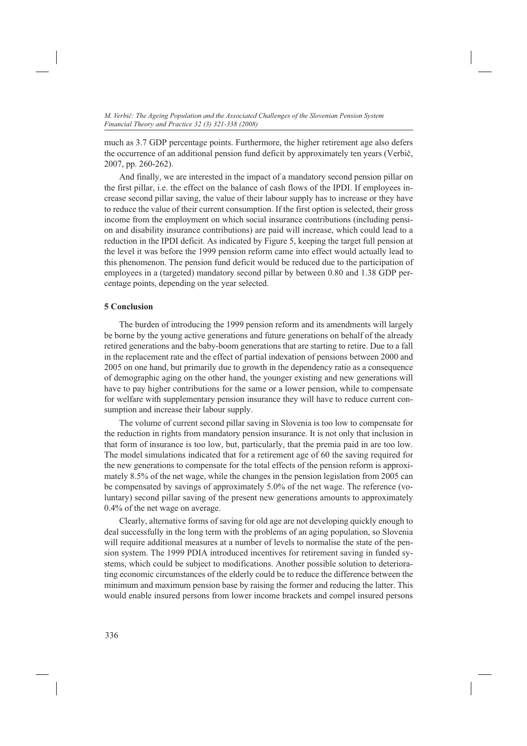much as 3.7 GDP percentage points. Furthermore, the higher retirement age also defers the occurrence of an additional pension fund deficit by approximately ten years (Verbič, 2007, pp. 260-262).

And finally, we are interested in the impact of a mandatory second pension pillar on the first pillar, i.e. the effect on the balance of cash flows of the IPDI. If employees increase second pillar saving, the value of their labour supply has to increase or they have to reduce the value of their current consumption. If the first option is selected, their gross income from the employment on which social insurance contributions (including pension and disability insurance contributions) are paid will increase, which could lead to a reduction in the IPDI deficit. As indicated by Figure 5, keeping the target full pension at the level it was before the 1999 pension reform came into effect would actually lead to this phenomenon. The pension fund deficit would be reduced due to the participation of employees in a (targeted) mandatory second pillar by between 0.80 and 1.38 GDP percentage points, depending on the year selected.

# **5 Conclusion**

The burden of introducing the 1999 pension reform and its amendments will largely be borne by the young active generations and future generations on behalf of the already retired generations and the baby-boom generations that are starting to retire. Due to a fall in the replacement rate and the effect of partial indexation of pensions between 2000 and 2005 on one hand, but primarily due to growth in the dependency ratio as a consequence of demographic aging on the other hand, the younger existing and new generations will have to pay higher contributions for the same or a lower pension, while to compensate for welfare with supplementary pension insurance they will have to reduce current consumption and increase their labour supply.

The volume of current second pillar saving in Slovenia is too low to compensate for the reduction in rights from mandatory pension insurance. It is not only that inclusion in that form of insurance is too low, but, particularly, that the premia paid in are too low. The model simulations indicated that for a retirement age of 60 the saving required for the new generations to compensate for the total effects of the pension reform is approximately 8.5% of the net wage, while the changes in the pension legislation from 2005 can be compensated by savings of approximately 5.0% of the net wage. The reference (voluntary) second pillar saving of the present new generations amounts to approximately 0.4% of the net wage on average.

Clearly, alternative forms of saving for old age are not developing quickly enough to deal successfully in the long term with the problems of an aging population, so Slovenia will require additional measures at a number of levels to normalise the state of the pension system. The 1999 PDIA introduced incentives for retirement saving in funded systems, which could be subject to modifications. Another possible solution to deteriorating economic circumstances of the elderly could be to reduce the difference between the minimum and maximum pension base by raising the former and reducing the latter. This would enable insured persons from lower income brackets and compel insured persons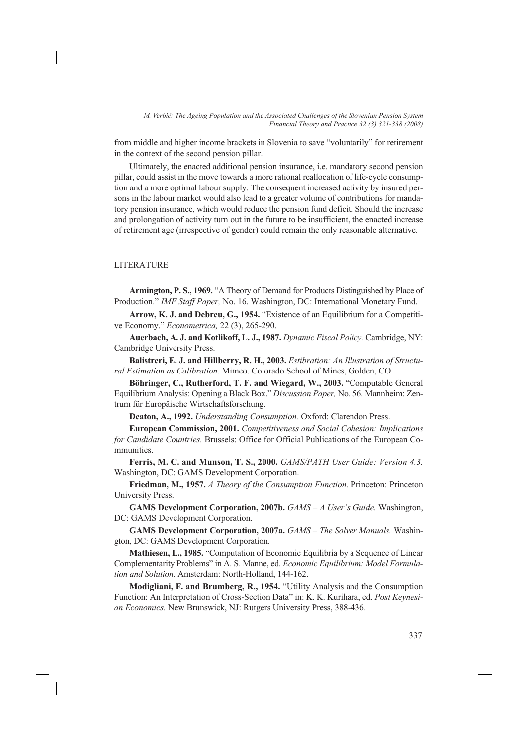from middle and higher income brackets in Slovenia to save "voluntarily" for retirement in the context of the second pension pillar.

Ultimately, the enacted additional pension insurance, i.e. mandatory second pension pillar, could assist in the move towards a more rational reallocation of life-cycle consumption and a more optimal labour supply. The consequent increased activity by insured persons in the labour market would also lead to a greater volume of contributions for mandatory pension insurance, which would reduce the pension fund deficit. Should the increase and prolongation of activity turn out in the future to be insufficient, the enacted increase of retirement age (irrespective of gender) could remain the only reasonable alternative.

## LITERATURE

**Armington, P. S., 1969.** "A Theory of Demand for Products Distinguished by Place of Production." *IMF Staff Paper,* No. 16. Washington, DC: International Monetary Fund.

**Arrow, K. J. and Debreu, G., 1954.** "Existence of an Equilibrium for a Competitive Economy." *Econometrica,* 22 (3), 265-290.

**Auerbach, A. J. and Kotlikoff, L. J., 1987.** *Dynamic Fiscal Policy.* Cambridge, NY: Cambridge University Press.

**Balistreri, E. J. and Hillberry, R. H., 2003.** *Estibration: An Illustration of Structural Estimation as Calibration.* Mimeo. Colorado School of Mines, Golden, CO.

**Böhringer, C., Rutherford, T. F. and Wiegard, W., 2003.** "Computable General Equilibrium Analysis: Opening a Black Box." *Discussion Paper,* No. 56. Mannheim: Zentrum für Europäische Wirtschaftsforschung.

**Deaton, A., 1992.** *Understanding Consumption.* Oxford: Clarendon Press.

**European Commission, 2001.** *Competitiveness and Social Cohesion: Implications for Candidate Countries.* Brussels: Office for Official Publications of the European Communities.

**Ferris, M. C. and Munson, T. S., 2000.** *GAMS/PATH User Guide: Version 4.3.*  Washington, DC: GAMS Development Corporation.

**Friedman, M., 1957.** *A Theory of the Consumption Function.* Princeton: Princeton University Press.

**GAMS Development Corporation, 2007b.** *GAMS – A User's Guide.* Washington, DC: GAMS Development Corporation.

**GAMS Development Corporation, 2007a.** *GAMS – The Solver Manuals.* Washington, DC: GAMS Development Corporation.

**Mathiesen, L., 1985.** "Computation of Economic Equilibria by a Sequence of Linear Complementarity Problems" in A. S. Manne, ed. *Economic Equilibrium: Model Formulation and Solution.* Amsterdam: North-Holland, 144-162.

**Modigliani, F. and Brumberg, R., 1954.** "Utility Analysis and the Consumption Function: An Interpretation of Cross-Section Data" in: K. K. Kurihara, ed. *Post Keynesian Economics.* New Brunswick, NJ: Rutgers University Press, 388-436.